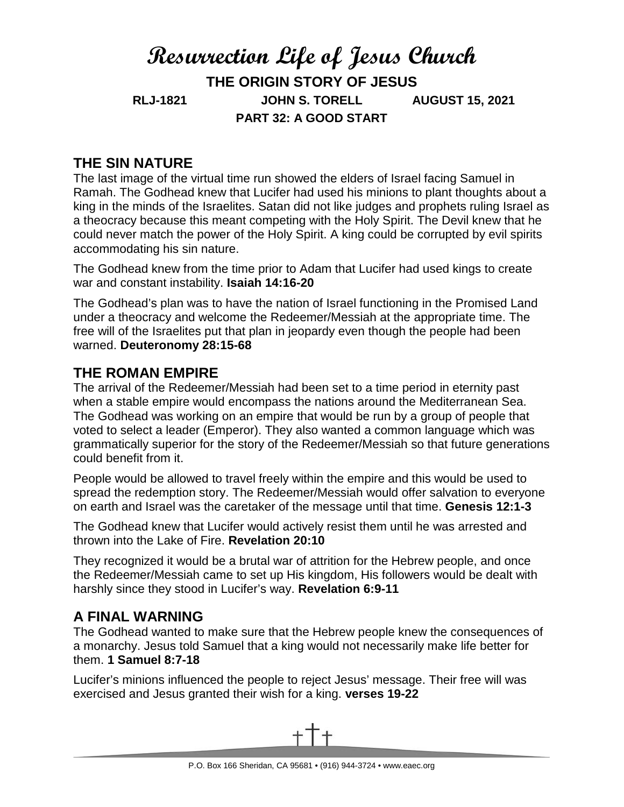# **Resurrection Life of Jesus Church THE ORIGIN STORY OF JESUS RLJ-1821 JOHN S. TORELL AUGUST 15, 2021 PART 32: A GOOD START**

# **THE SIN NATURE**

The last image of the virtual time run showed the elders of Israel facing Samuel in Ramah. The Godhead knew that Lucifer had used his minions to plant thoughts about a king in the minds of the Israelites. Satan did not like judges and prophets ruling Israel as a theocracy because this meant competing with the Holy Spirit. The Devil knew that he could never match the power of the Holy Spirit. A king could be corrupted by evil spirits accommodating his sin nature.

The Godhead knew from the time prior to Adam that Lucifer had used kings to create war and constant instability. **Isaiah 14:16-20**

The Godhead's plan was to have the nation of Israel functioning in the Promised Land under a theocracy and welcome the Redeemer/Messiah at the appropriate time. The free will of the Israelites put that plan in jeopardy even though the people had been warned. **Deuteronomy 28:15-68**

## **THE ROMAN EMPIRE**

The arrival of the Redeemer/Messiah had been set to a time period in eternity past when a stable empire would encompass the nations around the Mediterranean Sea. The Godhead was working on an empire that would be run by a group of people that voted to select a leader (Emperor). They also wanted a common language which was grammatically superior for the story of the Redeemer/Messiah so that future generations could benefit from it.

People would be allowed to travel freely within the empire and this would be used to spread the redemption story. The Redeemer/Messiah would offer salvation to everyone on earth and Israel was the caretaker of the message until that time. **Genesis 12:1-3**

The Godhead knew that Lucifer would actively resist them until he was arrested and thrown into the Lake of Fire. **Revelation 20:10**

They recognized it would be a brutal war of attrition for the Hebrew people, and once the Redeemer/Messiah came to set up His kingdom, His followers would be dealt with harshly since they stood in Lucifer's way. **Revelation 6:9-11**

# **A FINAL WARNING**

The Godhead wanted to make sure that the Hebrew people knew the consequences of a monarchy. Jesus told Samuel that a king would not necessarily make life better for them. **1 Samuel 8:7-18**

Lucifer's minions influenced the people to reject Jesus' message. Their free will was exercised and Jesus granted their wish for a king. **verses 19-22**

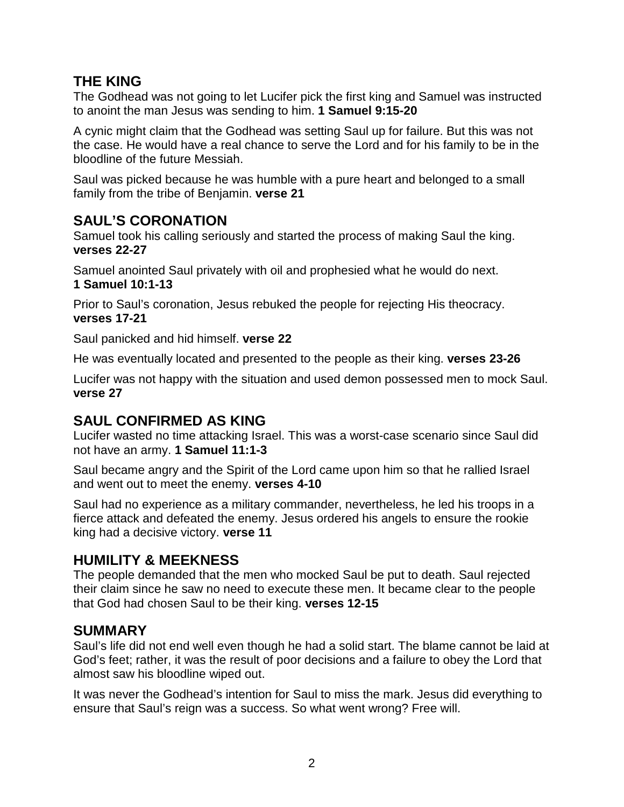## **THE KING**

The Godhead was not going to let Lucifer pick the first king and Samuel was instructed to anoint the man Jesus was sending to him. **1 Samuel 9:15-20**

A cynic might claim that the Godhead was setting Saul up for failure. But this was not the case. He would have a real chance to serve the Lord and for his family to be in the bloodline of the future Messiah.

Saul was picked because he was humble with a pure heart and belonged to a small family from the tribe of Benjamin. **verse 21**

#### **SAUL'S CORONATION**

Samuel took his calling seriously and started the process of making Saul the king. **verses 22-27**

Samuel anointed Saul privately with oil and prophesied what he would do next. **1 Samuel 10:1-13**

Prior to Saul's coronation, Jesus rebuked the people for rejecting His theocracy. **verses 17-21**

Saul panicked and hid himself. **verse 22**

He was eventually located and presented to the people as their king. **verses 23-26**

Lucifer was not happy with the situation and used demon possessed men to mock Saul. **verse 27**

## **SAUL CONFIRMED AS KING**

Lucifer wasted no time attacking Israel. This was a worst-case scenario since Saul did not have an army. **1 Samuel 11:1-3**

Saul became angry and the Spirit of the Lord came upon him so that he rallied Israel and went out to meet the enemy. **verses 4-10**

Saul had no experience as a military commander, nevertheless, he led his troops in a fierce attack and defeated the enemy. Jesus ordered his angels to ensure the rookie king had a decisive victory. **verse 11**

# **HUMILITY & MEEKNESS**

The people demanded that the men who mocked Saul be put to death. Saul rejected their claim since he saw no need to execute these men. It became clear to the people that God had chosen Saul to be their king. **verses 12-15**

## **SUMMARY**

Saul's life did not end well even though he had a solid start. The blame cannot be laid at God's feet; rather, it was the result of poor decisions and a failure to obey the Lord that almost saw his bloodline wiped out.

It was never the Godhead's intention for Saul to miss the mark. Jesus did everything to ensure that Saul's reign was a success. So what went wrong? Free will.